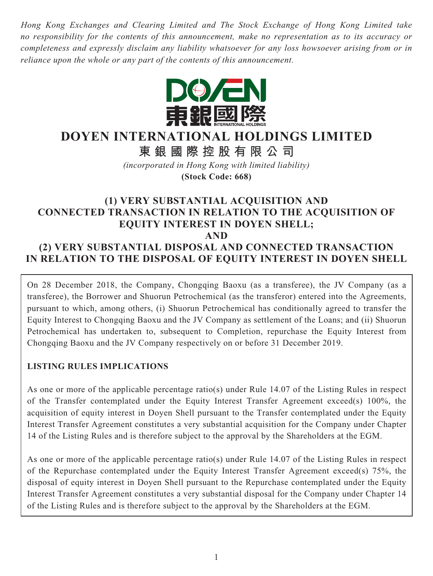*Hong Kong Exchanges and Clearing Limited and The Stock Exchange of Hong Kong Limited take no responsibility for the contents of this announcement, make no representation as to its accuracy or completeness and expressly disclaim any liability whatsoever for any loss howsoever arising from or in reliance upon the whole or any part of the contents of this announcement.*



# **DOYEN INTERNATIONAL HOLDINGS LIMITED**

**東銀國際控股有限公司**

*(incorporated in Hong Kong with limited liability)* **(Stock Code: 668)**

# **(1) VERY SUBSTANTIAL ACQUISITION AND CONNECTED TRANSACTION IN RELATION TO THE ACQUISITION OF EQUITY INTEREST IN DOYEN SHELL; AND**

# **(2) VERY SUBSTANTIAL DISPOSAL AND CONNECTED TRANSACTION IN RELATION TO THE DISPOSAL OF EQUITY INTEREST IN DOYEN SHELL**

On 28 December 2018, the Company, Chongqing Baoxu (as a transferee), the JV Company (as a transferee), the Borrower and Shuorun Petrochemical (as the transferor) entered into the Agreements, pursuant to which, among others, (i) Shuorun Petrochemical has conditionally agreed to transfer the Equity Interest to Chongqing Baoxu and the JV Company as settlement of the Loans; and (ii) Shuorun Petrochemical has undertaken to, subsequent to Completion, repurchase the Equity Interest from Chongqing Baoxu and the JV Company respectively on or before 31 December 2019.

# **LISTING RULES IMPLICATIONS**

As one or more of the applicable percentage ratio(s) under Rule 14.07 of the Listing Rules in respect of the Transfer contemplated under the Equity Interest Transfer Agreement exceed(s) 100%, the acquisition of equity interest in Doyen Shell pursuant to the Transfer contemplated under the Equity Interest Transfer Agreement constitutes a very substantial acquisition for the Company under Chapter 14 of the Listing Rules and is therefore subject to the approval by the Shareholders at the EGM.

As one or more of the applicable percentage ratio(s) under Rule 14.07 of the Listing Rules in respect of the Repurchase contemplated under the Equity Interest Transfer Agreement exceed(s) 75%, the disposal of equity interest in Doyen Shell pursuant to the Repurchase contemplated under the Equity Interest Transfer Agreement constitutes a very substantial disposal for the Company under Chapter 14 of the Listing Rules and is therefore subject to the approval by the Shareholders at the EGM.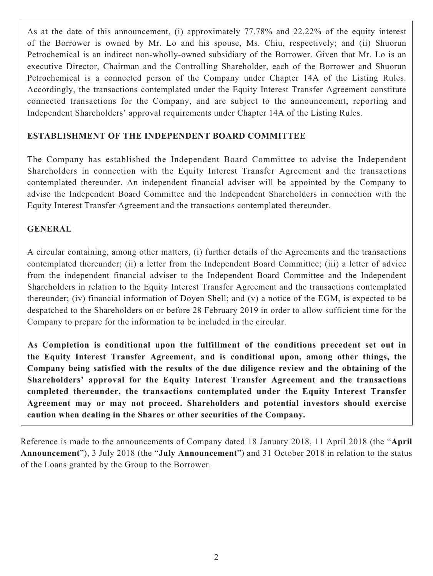As at the date of this announcement, (i) approximately 77.78% and 22.22% of the equity interest of the Borrower is owned by Mr. Lo and his spouse, Ms. Chiu, respectively; and (ii) Shuorun Petrochemical is an indirect non-wholly-owned subsidiary of the Borrower. Given that Mr. Lo is an executive Director, Chairman and the Controlling Shareholder, each of the Borrower and Shuorun Petrochemical is a connected person of the Company under Chapter 14A of the Listing Rules. Accordingly, the transactions contemplated under the Equity Interest Transfer Agreement constitute connected transactions for the Company, and are subject to the announcement, reporting and Independent Shareholders' approval requirements under Chapter 14A of the Listing Rules.

# **ESTABLISHMENT OF THE INDEPENDENT BOARD COMMITTEE**

The Company has established the Independent Board Committee to advise the Independent Shareholders in connection with the Equity Interest Transfer Agreement and the transactions contemplated thereunder. An independent financial adviser will be appointed by the Company to advise the Independent Board Committee and the Independent Shareholders in connection with the Equity Interest Transfer Agreement and the transactions contemplated thereunder.

# **GENERAL**

A circular containing, among other matters, (i) further details of the Agreements and the transactions contemplated thereunder; (ii) a letter from the Independent Board Committee; (iii) a letter of advice from the independent financial adviser to the Independent Board Committee and the Independent Shareholders in relation to the Equity Interest Transfer Agreement and the transactions contemplated thereunder; (iv) financial information of Doyen Shell; and (v) a notice of the EGM, is expected to be despatched to the Shareholders on or before 28 February 2019 in order to allow sufficient time for the Company to prepare for the information to be included in the circular.

**As Completion is conditional upon the fulfillment of the conditions precedent set out in the Equity Interest Transfer Agreement, and is conditional upon, among other things, the Company being satisfied with the results of the due diligence review and the obtaining of the Shareholders' approval for the Equity Interest Transfer Agreement and the transactions completed thereunder, the transactions contemplated under the Equity Interest Transfer Agreement may or may not proceed. Shareholders and potential investors should exercise caution when dealing in the Shares or other securities of the Company.**

Reference is made to the announcements of Company dated 18 January 2018, 11 April 2018 (the "**April Announcement**"), 3 July 2018 (the "**July Announcement**") and 31 October 2018 in relation to the status of the Loans granted by the Group to the Borrower.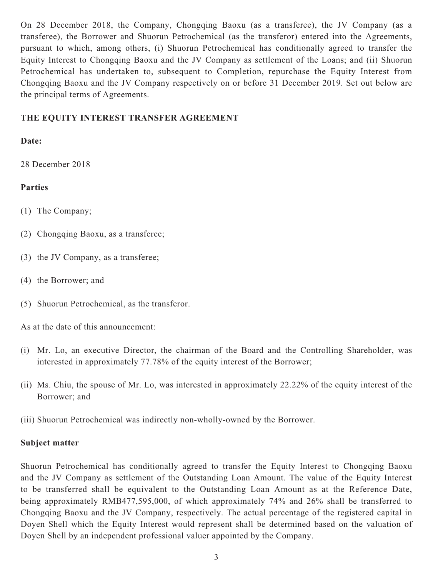On 28 December 2018, the Company, Chongqing Baoxu (as a transferee), the JV Company (as a transferee), the Borrower and Shuorun Petrochemical (as the transferor) entered into the Agreements, pursuant to which, among others, (i) Shuorun Petrochemical has conditionally agreed to transfer the Equity Interest to Chongqing Baoxu and the JV Company as settlement of the Loans; and (ii) Shuorun Petrochemical has undertaken to, subsequent to Completion, repurchase the Equity Interest from Chongqing Baoxu and the JV Company respectively on or before 31 December 2019. Set out below are the principal terms of Agreements.

## **THE EQUITY INTEREST TRANSFER AGREEMENT**

#### **Date:**

28 December 2018

# **Parties**

- (1) The Company;
- (2) Chongqing Baoxu, as a transferee;
- (3) the JV Company, as a transferee;
- (4) the Borrower; and
- (5) Shuorun Petrochemical, as the transferor.

As at the date of this announcement:

- (i) Mr. Lo, an executive Director, the chairman of the Board and the Controlling Shareholder, was interested in approximately 77.78% of the equity interest of the Borrower;
- (ii) Ms. Chiu, the spouse of Mr. Lo, was interested in approximately 22.22% of the equity interest of the Borrower; and
- (iii) Shuorun Petrochemical was indirectly non-wholly-owned by the Borrower.

#### **Subject matter**

Shuorun Petrochemical has conditionally agreed to transfer the Equity Interest to Chongqing Baoxu and the JV Company as settlement of the Outstanding Loan Amount. The value of the Equity Interest to be transferred shall be equivalent to the Outstanding Loan Amount as at the Reference Date, being approximately RMB477,595,000, of which approximately 74% and 26% shall be transferred to Chongqing Baoxu and the JV Company, respectively. The actual percentage of the registered capital in Doyen Shell which the Equity Interest would represent shall be determined based on the valuation of Doyen Shell by an independent professional valuer appointed by the Company.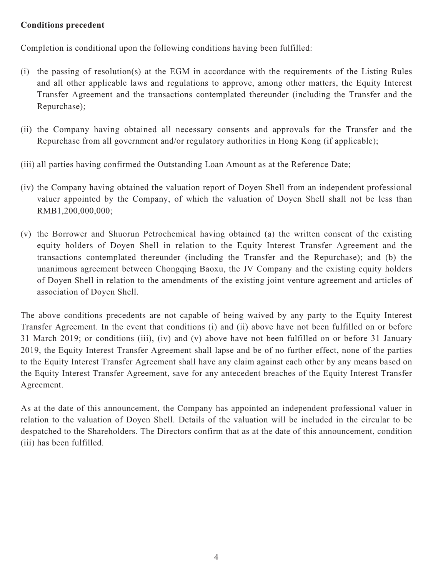#### **Conditions precedent**

Completion is conditional upon the following conditions having been fulfilled:

- (i) the passing of resolution(s) at the EGM in accordance with the requirements of the Listing Rules and all other applicable laws and regulations to approve, among other matters, the Equity Interest Transfer Agreement and the transactions contemplated thereunder (including the Transfer and the Repurchase);
- (ii) the Company having obtained all necessary consents and approvals for the Transfer and the Repurchase from all government and/or regulatory authorities in Hong Kong (if applicable);
- (iii) all parties having confirmed the Outstanding Loan Amount as at the Reference Date;
- (iv) the Company having obtained the valuation report of Doyen Shell from an independent professional valuer appointed by the Company, of which the valuation of Doyen Shell shall not be less than RMB1,200,000,000;
- (v) the Borrower and Shuorun Petrochemical having obtained (a) the written consent of the existing equity holders of Doyen Shell in relation to the Equity Interest Transfer Agreement and the transactions contemplated thereunder (including the Transfer and the Repurchase); and (b) the unanimous agreement between Chongqing Baoxu, the JV Company and the existing equity holders of Doyen Shell in relation to the amendments of the existing joint venture agreement and articles of association of Doyen Shell.

The above conditions precedents are not capable of being waived by any party to the Equity Interest Transfer Agreement. In the event that conditions (i) and (ii) above have not been fulfilled on or before 31 March 2019; or conditions (iii), (iv) and (v) above have not been fulfilled on or before 31 January 2019, the Equity Interest Transfer Agreement shall lapse and be of no further effect, none of the parties to the Equity Interest Transfer Agreement shall have any claim against each other by any means based on the Equity Interest Transfer Agreement, save for any antecedent breaches of the Equity Interest Transfer Agreement.

As at the date of this announcement, the Company has appointed an independent professional valuer in relation to the valuation of Doyen Shell. Details of the valuation will be included in the circular to be despatched to the Shareholders. The Directors confirm that as at the date of this announcement, condition (iii) has been fulfilled.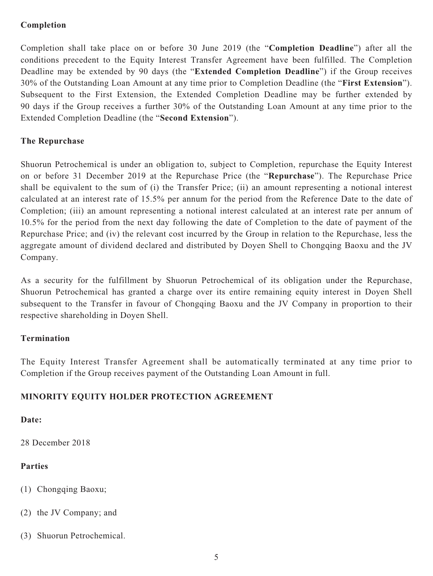# **Completion**

Completion shall take place on or before 30 June 2019 (the "**Completion Deadline**") after all the conditions precedent to the Equity Interest Transfer Agreement have been fulfilled. The Completion Deadline may be extended by 90 days (the "**Extended Completion Deadline**") if the Group receives 30% of the Outstanding Loan Amount at any time prior to Completion Deadline (the "**First Extension**"). Subsequent to the First Extension, the Extended Completion Deadline may be further extended by 90 days if the Group receives a further 30% of the Outstanding Loan Amount at any time prior to the Extended Completion Deadline (the "**Second Extension**").

#### **The Repurchase**

Shuorun Petrochemical is under an obligation to, subject to Completion, repurchase the Equity Interest on or before 31 December 2019 at the Repurchase Price (the "**Repurchase**"). The Repurchase Price shall be equivalent to the sum of (i) the Transfer Price; (ii) an amount representing a notional interest calculated at an interest rate of 15.5% per annum for the period from the Reference Date to the date of Completion; (iii) an amount representing a notional interest calculated at an interest rate per annum of 10.5% for the period from the next day following the date of Completion to the date of payment of the Repurchase Price; and (iv) the relevant cost incurred by the Group in relation to the Repurchase, less the aggregate amount of dividend declared and distributed by Doyen Shell to Chongqing Baoxu and the JV Company.

As a security for the fulfillment by Shuorun Petrochemical of its obligation under the Repurchase, Shuorun Petrochemical has granted a charge over its entire remaining equity interest in Doyen Shell subsequent to the Transfer in favour of Chongqing Baoxu and the JV Company in proportion to their respective shareholding in Doyen Shell.

# **Termination**

The Equity Interest Transfer Agreement shall be automatically terminated at any time prior to Completion if the Group receives payment of the Outstanding Loan Amount in full.

# **MINORITY EQUITY HOLDER PROTECTION AGREEMENT**

#### **Date:**

28 December 2018

# **Parties**

- (1) Chongqing Baoxu;
- (2) the JV Company; and
- (3) Shuorun Petrochemical.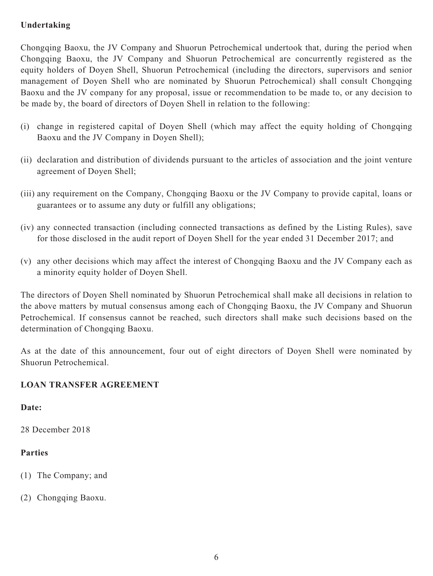# **Undertaking**

Chongqing Baoxu, the JV Company and Shuorun Petrochemical undertook that, during the period when Chongqing Baoxu, the JV Company and Shuorun Petrochemical are concurrently registered as the equity holders of Doyen Shell, Shuorun Petrochemical (including the directors, supervisors and senior management of Doyen Shell who are nominated by Shuorun Petrochemical) shall consult Chongqing Baoxu and the JV company for any proposal, issue or recommendation to be made to, or any decision to be made by, the board of directors of Doyen Shell in relation to the following:

- (i) change in registered capital of Doyen Shell (which may affect the equity holding of Chongqing Baoxu and the JV Company in Doyen Shell);
- (ii) declaration and distribution of dividends pursuant to the articles of association and the joint venture agreement of Doyen Shell;
- (iii) any requirement on the Company, Chongqing Baoxu or the JV Company to provide capital, loans or guarantees or to assume any duty or fulfill any obligations;
- (iv) any connected transaction (including connected transactions as defined by the Listing Rules), save for those disclosed in the audit report of Doyen Shell for the year ended 31 December 2017; and
- (v) any other decisions which may affect the interest of Chongqing Baoxu and the JV Company each as a minority equity holder of Doyen Shell.

The directors of Doyen Shell nominated by Shuorun Petrochemical shall make all decisions in relation to the above matters by mutual consensus among each of Chongqing Baoxu, the JV Company and Shuorun Petrochemical. If consensus cannot be reached, such directors shall make such decisions based on the determination of Chongqing Baoxu.

As at the date of this announcement, four out of eight directors of Doyen Shell were nominated by Shuorun Petrochemical.

# **LOAN TRANSFER AGREEMENT**

#### **Date:**

28 December 2018

# **Parties**

- (1) The Company; and
- (2) Chongqing Baoxu.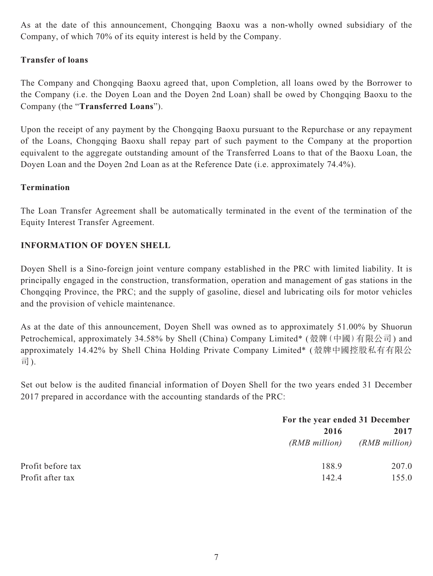As at the date of this announcement, Chongqing Baoxu was a non-wholly owned subsidiary of the Company, of which 70% of its equity interest is held by the Company.

## **Transfer of loans**

The Company and Chongqing Baoxu agreed that, upon Completion, all loans owed by the Borrower to the Company (i.e. the Doyen Loan and the Doyen 2nd Loan) shall be owed by Chongqing Baoxu to the Company (the "**Transferred Loans**").

Upon the receipt of any payment by the Chongqing Baoxu pursuant to the Repurchase or any repayment of the Loans, Chongqing Baoxu shall repay part of such payment to the Company at the proportion equivalent to the aggregate outstanding amount of the Transferred Loans to that of the Baoxu Loan, the Doyen Loan and the Doyen 2nd Loan as at the Reference Date (i.e. approximately 74.4%).

#### **Termination**

The Loan Transfer Agreement shall be automatically terminated in the event of the termination of the Equity Interest Transfer Agreement.

#### **INFORMATION OF DOYEN SHELL**

Doyen Shell is a Sino-foreign joint venture company established in the PRC with limited liability. It is principally engaged in the construction, transformation, operation and management of gas stations in the Chongqing Province, the PRC; and the supply of gasoline, diesel and lubricating oils for motor vehicles and the provision of vehicle maintenance.

As at the date of this announcement, Doyen Shell was owned as to approximately 51.00% by Shuorun Petrochemical, approximately 34.58% by Shell (China) Company Limited\* (殼牌 (中國) 有限公司) and approximately 14.42% by Shell China Holding Private Company Limited\* (殼牌中國控股私有有限公 司).

Set out below is the audited financial information of Doyen Shell for the two years ended 31 December 2017 prepared in accordance with the accounting standards of the PRC:

|                   |               | For the year ended 31 December |  |
|-------------------|---------------|--------------------------------|--|
|                   | 2016          | 2017                           |  |
|                   | (RMB million) | (RMB million)                  |  |
| Profit before tax | 188.9         | 207.0                          |  |
| Profit after tax  | 142.4         | 155.0                          |  |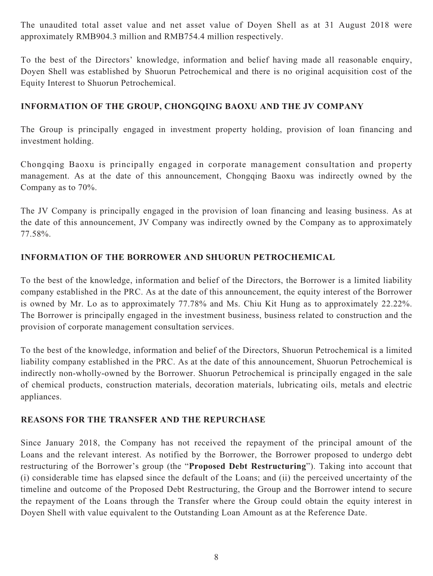The unaudited total asset value and net asset value of Doyen Shell as at 31 August 2018 were approximately RMB904.3 million and RMB754.4 million respectively.

To the best of the Directors' knowledge, information and belief having made all reasonable enquiry, Doyen Shell was established by Shuorun Petrochemical and there is no original acquisition cost of the Equity Interest to Shuorun Petrochemical.

## **INFORMATION OF THE GROUP, CHONGQING BAOXU AND THE JV COMPANY**

The Group is principally engaged in investment property holding, provision of loan financing and investment holding.

Chongqing Baoxu is principally engaged in corporate management consultation and property management. As at the date of this announcement, Chongqing Baoxu was indirectly owned by the Company as to 70%.

The JV Company is principally engaged in the provision of loan financing and leasing business. As at the date of this announcement, JV Company was indirectly owned by the Company as to approximately 77.58%.

## **INFORMATION OF THE BORROWER AND SHUORUN PETROCHEMICAL**

To the best of the knowledge, information and belief of the Directors, the Borrower is a limited liability company established in the PRC. As at the date of this announcement, the equity interest of the Borrower is owned by Mr. Lo as to approximately 77.78% and Ms. Chiu Kit Hung as to approximately 22.22%. The Borrower is principally engaged in the investment business, business related to construction and the provision of corporate management consultation services.

To the best of the knowledge, information and belief of the Directors, Shuorun Petrochemical is a limited liability company established in the PRC. As at the date of this announcement, Shuorun Petrochemical is indirectly non-wholly-owned by the Borrower. Shuorun Petrochemical is principally engaged in the sale of chemical products, construction materials, decoration materials, lubricating oils, metals and electric appliances.

#### **REASONS FOR THE TRANSFER AND THE REPURCHASE**

Since January 2018, the Company has not received the repayment of the principal amount of the Loans and the relevant interest. As notified by the Borrower, the Borrower proposed to undergo debt restructuring of the Borrower's group (the "**Proposed Debt Restructuring**"). Taking into account that (i) considerable time has elapsed since the default of the Loans; and (ii) the perceived uncertainty of the timeline and outcome of the Proposed Debt Restructuring, the Group and the Borrower intend to secure the repayment of the Loans through the Transfer where the Group could obtain the equity interest in Doyen Shell with value equivalent to the Outstanding Loan Amount as at the Reference Date.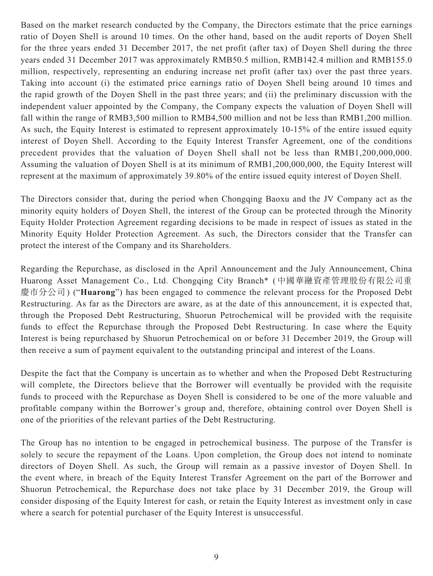Based on the market research conducted by the Company, the Directors estimate that the price earnings ratio of Doyen Shell is around 10 times. On the other hand, based on the audit reports of Doyen Shell for the three years ended 31 December 2017, the net profit (after tax) of Doyen Shell during the three years ended 31 December 2017 was approximately RMB50.5 million, RMB142.4 million and RMB155.0 million, respectively, representing an enduring increase net profit (after tax) over the past three years. Taking into account (i) the estimated price earnings ratio of Doyen Shell being around 10 times and the rapid growth of the Doyen Shell in the past three years; and (ii) the preliminary discussion with the independent valuer appointed by the Company, the Company expects the valuation of Doyen Shell will fall within the range of RMB3,500 million to RMB4,500 million and not be less than RMB1,200 million. As such, the Equity Interest is estimated to represent approximately 10-15% of the entire issued equity interest of Doyen Shell. According to the Equity Interest Transfer Agreement, one of the conditions precedent provides that the valuation of Doyen Shell shall not be less than RMB1,200,000,000. Assuming the valuation of Doyen Shell is at its minimum of RMB1,200,000,000, the Equity Interest will represent at the maximum of approximately 39.80% of the entire issued equity interest of Doyen Shell.

The Directors consider that, during the period when Chongqing Baoxu and the JV Company act as the minority equity holders of Doyen Shell, the interest of the Group can be protected through the Minority Equity Holder Protection Agreement regarding decisions to be made in respect of issues as stated in the Minority Equity Holder Protection Agreement. As such, the Directors consider that the Transfer can protect the interest of the Company and its Shareholders.

Regarding the Repurchase, as disclosed in the April Announcement and the July Announcement, China Huarong Asset Management Co., Ltd. Chongqing City Branch\* (中國華融資產管理股份有限公司重 慶市分公司) ("**Huarong**") has been engaged to commence the relevant process for the Proposed Debt Restructuring. As far as the Directors are aware, as at the date of this announcement, it is expected that, through the Proposed Debt Restructuring, Shuorun Petrochemical will be provided with the requisite funds to effect the Repurchase through the Proposed Debt Restructuring. In case where the Equity Interest is being repurchased by Shuorun Petrochemical on or before 31 December 2019, the Group will then receive a sum of payment equivalent to the outstanding principal and interest of the Loans.

Despite the fact that the Company is uncertain as to whether and when the Proposed Debt Restructuring will complete, the Directors believe that the Borrower will eventually be provided with the requisite funds to proceed with the Repurchase as Doyen Shell is considered to be one of the more valuable and profitable company within the Borrower's group and, therefore, obtaining control over Doyen Shell is one of the priorities of the relevant parties of the Debt Restructuring.

The Group has no intention to be engaged in petrochemical business. The purpose of the Transfer is solely to secure the repayment of the Loans. Upon completion, the Group does not intend to nominate directors of Doyen Shell. As such, the Group will remain as a passive investor of Doyen Shell. In the event where, in breach of the Equity Interest Transfer Agreement on the part of the Borrower and Shuorun Petrochemical, the Repurchase does not take place by 31 December 2019, the Group will consider disposing of the Equity Interest for cash, or retain the Equity Interest as investment only in case where a search for potential purchaser of the Equity Interest is unsuccessful.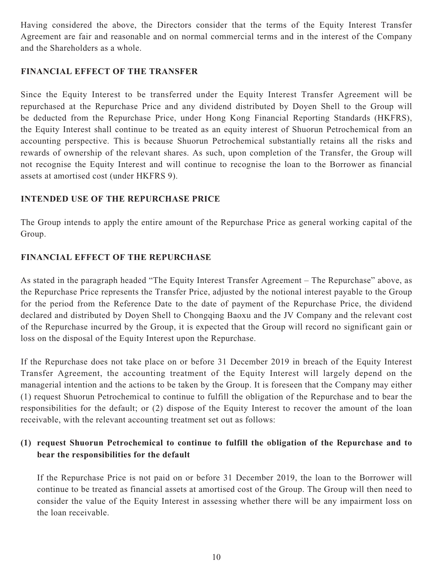Having considered the above, the Directors consider that the terms of the Equity Interest Transfer Agreement are fair and reasonable and on normal commercial terms and in the interest of the Company and the Shareholders as a whole.

#### **FINANCIAL EFFECT OF THE TRANSFER**

Since the Equity Interest to be transferred under the Equity Interest Transfer Agreement will be repurchased at the Repurchase Price and any dividend distributed by Doyen Shell to the Group will be deducted from the Repurchase Price, under Hong Kong Financial Reporting Standards (HKFRS), the Equity Interest shall continue to be treated as an equity interest of Shuorun Petrochemical from an accounting perspective. This is because Shuorun Petrochemical substantially retains all the risks and rewards of ownership of the relevant shares. As such, upon completion of the Transfer, the Group will not recognise the Equity Interest and will continue to recognise the loan to the Borrower as financial assets at amortised cost (under HKFRS 9).

## **INTENDED USE OF THE REPURCHASE PRICE**

The Group intends to apply the entire amount of the Repurchase Price as general working capital of the Group.

# **FINANCIAL EFFECT OF THE REPURCHASE**

As stated in the paragraph headed "The Equity Interest Transfer Agreement – The Repurchase" above, as the Repurchase Price represents the Transfer Price, adjusted by the notional interest payable to the Group for the period from the Reference Date to the date of payment of the Repurchase Price, the dividend declared and distributed by Doyen Shell to Chongqing Baoxu and the JV Company and the relevant cost of the Repurchase incurred by the Group, it is expected that the Group will record no significant gain or loss on the disposal of the Equity Interest upon the Repurchase.

If the Repurchase does not take place on or before 31 December 2019 in breach of the Equity Interest Transfer Agreement, the accounting treatment of the Equity Interest will largely depend on the managerial intention and the actions to be taken by the Group. It is foreseen that the Company may either (1) request Shuorun Petrochemical to continue to fulfill the obligation of the Repurchase and to bear the responsibilities for the default; or (2) dispose of the Equity Interest to recover the amount of the loan receivable, with the relevant accounting treatment set out as follows:

# **(1) request Shuorun Petrochemical to continue to fulfill the obligation of the Repurchase and to bear the responsibilities for the default**

If the Repurchase Price is not paid on or before 31 December 2019, the loan to the Borrower will continue to be treated as financial assets at amortised cost of the Group. The Group will then need to consider the value of the Equity Interest in assessing whether there will be any impairment loss on the loan receivable.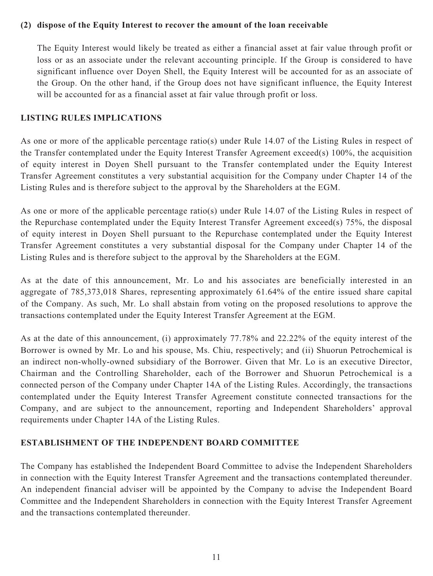#### **(2) dispose of the Equity Interest to recover the amount of the loan receivable**

The Equity Interest would likely be treated as either a financial asset at fair value through profit or loss or as an associate under the relevant accounting principle. If the Group is considered to have significant influence over Doyen Shell, the Equity Interest will be accounted for as an associate of the Group. On the other hand, if the Group does not have significant influence, the Equity Interest will be accounted for as a financial asset at fair value through profit or loss.

#### **LISTING RULES IMPLICATIONS**

As one or more of the applicable percentage ratio(s) under Rule 14.07 of the Listing Rules in respect of the Transfer contemplated under the Equity Interest Transfer Agreement exceed(s) 100%, the acquisition of equity interest in Doyen Shell pursuant to the Transfer contemplated under the Equity Interest Transfer Agreement constitutes a very substantial acquisition for the Company under Chapter 14 of the Listing Rules and is therefore subject to the approval by the Shareholders at the EGM.

As one or more of the applicable percentage ratio(s) under Rule 14.07 of the Listing Rules in respect of the Repurchase contemplated under the Equity Interest Transfer Agreement exceed(s) 75%, the disposal of equity interest in Doyen Shell pursuant to the Repurchase contemplated under the Equity Interest Transfer Agreement constitutes a very substantial disposal for the Company under Chapter 14 of the Listing Rules and is therefore subject to the approval by the Shareholders at the EGM.

As at the date of this announcement, Mr. Lo and his associates are beneficially interested in an aggregate of 785,373,018 Shares, representing approximately 61.64% of the entire issued share capital of the Company. As such, Mr. Lo shall abstain from voting on the proposed resolutions to approve the transactions contemplated under the Equity Interest Transfer Agreement at the EGM.

As at the date of this announcement, (i) approximately 77.78% and 22.22% of the equity interest of the Borrower is owned by Mr. Lo and his spouse, Ms. Chiu, respectively; and (ii) Shuorun Petrochemical is an indirect non-wholly-owned subsidiary of the Borrower. Given that Mr. Lo is an executive Director, Chairman and the Controlling Shareholder, each of the Borrower and Shuorun Petrochemical is a connected person of the Company under Chapter 14A of the Listing Rules. Accordingly, the transactions contemplated under the Equity Interest Transfer Agreement constitute connected transactions for the Company, and are subject to the announcement, reporting and Independent Shareholders' approval requirements under Chapter 14A of the Listing Rules.

# **ESTABLISHMENT OF THE INDEPENDENT BOARD COMMITTEE**

The Company has established the Independent Board Committee to advise the Independent Shareholders in connection with the Equity Interest Transfer Agreement and the transactions contemplated thereunder. An independent financial adviser will be appointed by the Company to advise the Independent Board Committee and the Independent Shareholders in connection with the Equity Interest Transfer Agreement and the transactions contemplated thereunder.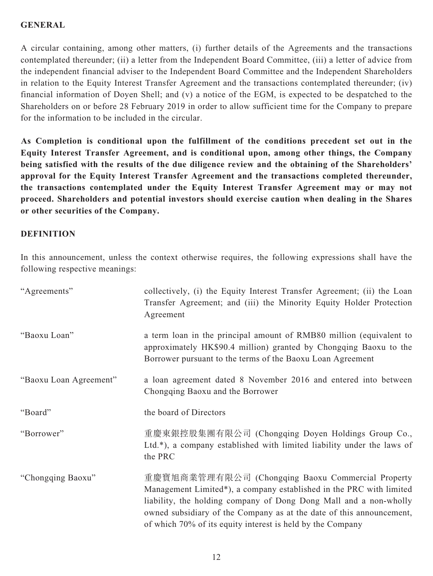#### **GENERAL**

A circular containing, among other matters, (i) further details of the Agreements and the transactions contemplated thereunder; (ii) a letter from the Independent Board Committee, (iii) a letter of advice from the independent financial adviser to the Independent Board Committee and the Independent Shareholders in relation to the Equity Interest Transfer Agreement and the transactions contemplated thereunder; (iv) financial information of Doyen Shell; and (v) a notice of the EGM, is expected to be despatched to the Shareholders on or before 28 February 2019 in order to allow sufficient time for the Company to prepare for the information to be included in the circular.

**As Completion is conditional upon the fulfillment of the conditions precedent set out in the Equity Interest Transfer Agreement, and is conditional upon, among other things, the Company being satisfied with the results of the due diligence review and the obtaining of the Shareholders' approval for the Equity Interest Transfer Agreement and the transactions completed thereunder, the transactions contemplated under the Equity Interest Transfer Agreement may or may not proceed. Shareholders and potential investors should exercise caution when dealing in the Shares or other securities of the Company.**

## **DEFINITION**

In this announcement, unless the context otherwise requires, the following expressions shall have the following respective meanings:

| "Agreements"           | collectively, (i) the Equity Interest Transfer Agreement; (ii) the Loan<br>Transfer Agreement; and (iii) the Minority Equity Holder Protection<br>Agreement                                                                                                                                                                         |
|------------------------|-------------------------------------------------------------------------------------------------------------------------------------------------------------------------------------------------------------------------------------------------------------------------------------------------------------------------------------|
| "Baoxu Loan"           | a term loan in the principal amount of RMB80 million (equivalent to<br>approximately HK\$90.4 million) granted by Chongqing Baoxu to the<br>Borrower pursuant to the terms of the Baoxu Loan Agreement                                                                                                                              |
| "Baoxu Loan Agreement" | a loan agreement dated 8 November 2016 and entered into between<br>Chongqing Baoxu and the Borrower                                                                                                                                                                                                                                 |
| "Board"                | the board of Directors                                                                                                                                                                                                                                                                                                              |
| "Borrower"             | 重慶東銀控股集團有限公司 (Chongqing Doyen Holdings Group Co.,<br>Ltd.*), a company established with limited liability under the laws of<br>the PRC                                                                                                                                                                                              |
| "Chongqing Baoxu"      | 重慶寶旭商業管理有限公司 (Chongqing Baoxu Commercial Property<br>Management Limited*), a company established in the PRC with limited<br>liability, the holding company of Dong Dong Mall and a non-wholly<br>owned subsidiary of the Company as at the date of this announcement,<br>of which 70% of its equity interest is held by the Company |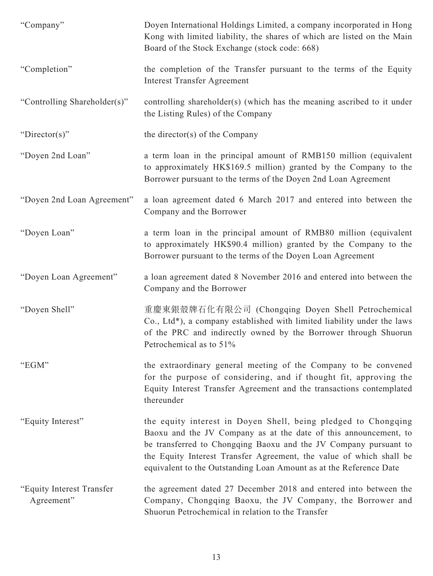| "Company"                               | Doyen International Holdings Limited, a company incorporated in Hong<br>Kong with limited liability, the shares of which are listed on the Main<br>Board of the Stock Exchange (stock code: 668)                                                                                                                                                    |
|-----------------------------------------|-----------------------------------------------------------------------------------------------------------------------------------------------------------------------------------------------------------------------------------------------------------------------------------------------------------------------------------------------------|
| "Completion"                            | the completion of the Transfer pursuant to the terms of the Equity<br><b>Interest Transfer Agreement</b>                                                                                                                                                                                                                                            |
| "Controlling Shareholder(s)"            | controlling shareholder(s) (which has the meaning ascribed to it under<br>the Listing Rules) of the Company                                                                                                                                                                                                                                         |
| "Director(s)"                           | the director(s) of the Company                                                                                                                                                                                                                                                                                                                      |
| "Doyen 2nd Loan"                        | a term loan in the principal amount of RMB150 million (equivalent<br>to approximately HK\$169.5 million) granted by the Company to the<br>Borrower pursuant to the terms of the Doyen 2nd Loan Agreement                                                                                                                                            |
| "Doyen 2nd Loan Agreement"              | a loan agreement dated 6 March 2017 and entered into between the<br>Company and the Borrower                                                                                                                                                                                                                                                        |
| "Doyen Loan"                            | a term loan in the principal amount of RMB80 million (equivalent<br>to approximately HK\$90.4 million) granted by the Company to the<br>Borrower pursuant to the terms of the Doyen Loan Agreement                                                                                                                                                  |
| "Doyen Loan Agreement"                  | a loan agreement dated 8 November 2016 and entered into between the<br>Company and the Borrower                                                                                                                                                                                                                                                     |
| "Doyen Shell"                           | 重慶東銀殼牌石化有限公司 (Chongqing Doyen Shell Petrochemical<br>Co., Ltd*), a company established with limited liability under the laws<br>of the PRC and indirectly owned by the Borrower through Shuorun<br>Petrochemical as to 51%                                                                                                                          |
| "EGM"                                   | the extraordinary general meeting of the Company to be convened<br>for the purpose of considering, and if thought fit, approving the<br>Equity Interest Transfer Agreement and the transactions contemplated<br>thereunder                                                                                                                          |
| "Equity Interest"                       | the equity interest in Doyen Shell, being pledged to Chongqing<br>Baoxu and the JV Company as at the date of this announcement, to<br>be transferred to Chongqing Baoxu and the JV Company pursuant to<br>the Equity Interest Transfer Agreement, the value of which shall be<br>equivalent to the Outstanding Loan Amount as at the Reference Date |
| "Equity Interest Transfer<br>Agreement" | the agreement dated 27 December 2018 and entered into between the<br>Company, Chongqing Baoxu, the JV Company, the Borrower and<br>Shuorun Petrochemical in relation to the Transfer                                                                                                                                                                |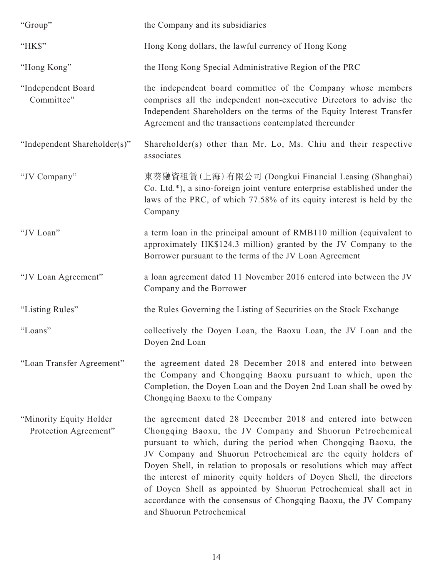| "Group"                                           | the Company and its subsidiaries                                                                                                                                                                                                                                                                                                                                                                                                                                                                                                                                                       |
|---------------------------------------------------|----------------------------------------------------------------------------------------------------------------------------------------------------------------------------------------------------------------------------------------------------------------------------------------------------------------------------------------------------------------------------------------------------------------------------------------------------------------------------------------------------------------------------------------------------------------------------------------|
| "HK\$"                                            | Hong Kong dollars, the lawful currency of Hong Kong                                                                                                                                                                                                                                                                                                                                                                                                                                                                                                                                    |
| "Hong Kong"                                       | the Hong Kong Special Administrative Region of the PRC                                                                                                                                                                                                                                                                                                                                                                                                                                                                                                                                 |
| "Independent Board<br>Committee"                  | the independent board committee of the Company whose members<br>comprises all the independent non-executive Directors to advise the<br>Independent Shareholders on the terms of the Equity Interest Transfer<br>Agreement and the transactions contemplated thereunder                                                                                                                                                                                                                                                                                                                 |
| "Independent Shareholder(s)"                      | Shareholder(s) other than Mr. Lo, Ms. Chiu and their respective<br>associates                                                                                                                                                                                                                                                                                                                                                                                                                                                                                                          |
| "JV Company"                                      | 東葵融資租賃(上海)有限公司 (Dongkui Financial Leasing (Shanghai)<br>Co. Ltd.*), a sino-foreign joint venture enterprise established under the<br>laws of the PRC, of which 77.58% of its equity interest is held by the<br>Company                                                                                                                                                                                                                                                                                                                                                                 |
| "JV Loan"                                         | a term loan in the principal amount of RMB110 million (equivalent to<br>approximately HK\$124.3 million) granted by the JV Company to the<br>Borrower pursuant to the terms of the JV Loan Agreement                                                                                                                                                                                                                                                                                                                                                                                   |
| "JV Loan Agreement"                               | a loan agreement dated 11 November 2016 entered into between the JV<br>Company and the Borrower                                                                                                                                                                                                                                                                                                                                                                                                                                                                                        |
| "Listing Rules"                                   | the Rules Governing the Listing of Securities on the Stock Exchange                                                                                                                                                                                                                                                                                                                                                                                                                                                                                                                    |
| "Loans"                                           | collectively the Doyen Loan, the Baoxu Loan, the JV Loan and the<br>Doyen 2nd Loan                                                                                                                                                                                                                                                                                                                                                                                                                                                                                                     |
| "Loan Transfer Agreement"                         | the agreement dated 28 December 2018 and entered into between<br>the Company and Chongqing Baoxu pursuant to which, upon the<br>Completion, the Doyen Loan and the Doyen 2nd Loan shall be owed by<br>Chongqing Baoxu to the Company                                                                                                                                                                                                                                                                                                                                                   |
| "Minority Equity Holder"<br>Protection Agreement" | the agreement dated 28 December 2018 and entered into between<br>Chongqing Baoxu, the JV Company and Shuorun Petrochemical<br>pursuant to which, during the period when Chongqing Baoxu, the<br>JV Company and Shuorun Petrochemical are the equity holders of<br>Doyen Shell, in relation to proposals or resolutions which may affect<br>the interest of minority equity holders of Doyen Shell, the directors<br>of Doyen Shell as appointed by Shuorun Petrochemical shall act in<br>accordance with the consensus of Chongqing Baoxu, the JV Company<br>and Shuorun Petrochemical |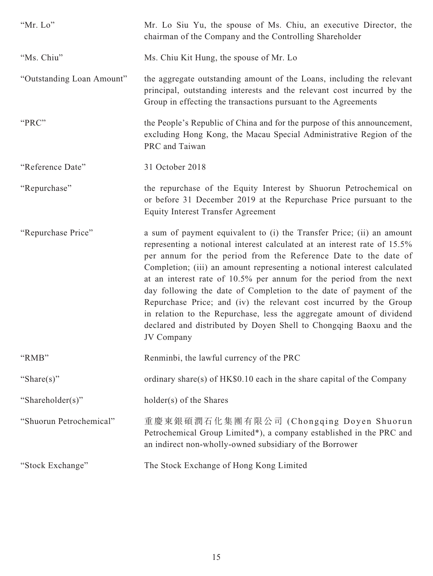| "Mr. Lo"                  | Mr. Lo Siu Yu, the spouse of Ms. Chiu, an executive Director, the<br>chairman of the Company and the Controlling Shareholder                                                                                                                                                                                                                                                                                                                                                                                                                                                                                                                                                   |
|---------------------------|--------------------------------------------------------------------------------------------------------------------------------------------------------------------------------------------------------------------------------------------------------------------------------------------------------------------------------------------------------------------------------------------------------------------------------------------------------------------------------------------------------------------------------------------------------------------------------------------------------------------------------------------------------------------------------|
| "Ms. Chiu"                | Ms. Chiu Kit Hung, the spouse of Mr. Lo                                                                                                                                                                                                                                                                                                                                                                                                                                                                                                                                                                                                                                        |
| "Outstanding Loan Amount" | the aggregate outstanding amount of the Loans, including the relevant<br>principal, outstanding interests and the relevant cost incurred by the<br>Group in effecting the transactions pursuant to the Agreements                                                                                                                                                                                                                                                                                                                                                                                                                                                              |
| "PRC"                     | the People's Republic of China and for the purpose of this announcement,<br>excluding Hong Kong, the Macau Special Administrative Region of the<br>PRC and Taiwan                                                                                                                                                                                                                                                                                                                                                                                                                                                                                                              |
| "Reference Date"          | 31 October 2018                                                                                                                                                                                                                                                                                                                                                                                                                                                                                                                                                                                                                                                                |
| "Repurchase"              | the repurchase of the Equity Interest by Shuorun Petrochemical on<br>or before 31 December 2019 at the Repurchase Price pursuant to the<br><b>Equity Interest Transfer Agreement</b>                                                                                                                                                                                                                                                                                                                                                                                                                                                                                           |
| "Repurchase Price"        | a sum of payment equivalent to (i) the Transfer Price; (ii) an amount<br>representing a notional interest calculated at an interest rate of 15.5%<br>per annum for the period from the Reference Date to the date of<br>Completion; (iii) an amount representing a notional interest calculated<br>at an interest rate of 10.5% per annum for the period from the next<br>day following the date of Completion to the date of payment of the<br>Repurchase Price; and (iv) the relevant cost incurred by the Group<br>in relation to the Repurchase, less the aggregate amount of dividend<br>declared and distributed by Doyen Shell to Chongqing Baoxu and the<br>JV Company |
| "RMB"                     | Renminbi, the lawful currency of the PRC                                                                                                                                                                                                                                                                                                                                                                                                                                                                                                                                                                                                                                       |
| "Share(s)"                | ordinary share(s) of HK\$0.10 each in the share capital of the Company                                                                                                                                                                                                                                                                                                                                                                                                                                                                                                                                                                                                         |
| "Shareholder(s)"          | holder(s) of the Shares                                                                                                                                                                                                                                                                                                                                                                                                                                                                                                                                                                                                                                                        |
| "Shuorun Petrochemical"   | 重慶東銀碩潤石化集團有限公司 (Chongqing Doyen Shuorun<br>Petrochemical Group Limited*), a company established in the PRC and<br>an indirect non-wholly-owned subsidiary of the Borrower                                                                                                                                                                                                                                                                                                                                                                                                                                                                                                      |
| "Stock Exchange"          | The Stock Exchange of Hong Kong Limited                                                                                                                                                                                                                                                                                                                                                                                                                                                                                                                                                                                                                                        |